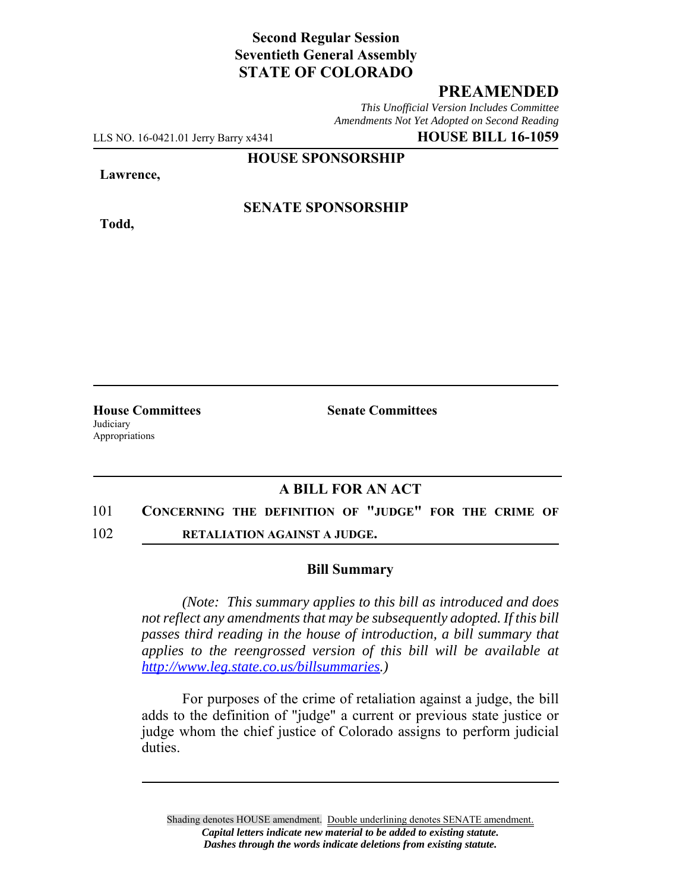# **Second Regular Session Seventieth General Assembly STATE OF COLORADO**

## **PREAMENDED**

*This Unofficial Version Includes Committee Amendments Not Yet Adopted on Second Reading*

LLS NO. 16-0421.01 Jerry Barry x4341 **HOUSE BILL 16-1059**

**HOUSE SPONSORSHIP**

#### **Lawrence,**

**Todd,**

### **SENATE SPONSORSHIP**

Judiciary Appropriations

**House Committees Senate Committees** 

## **A BILL FOR AN ACT**

- 101 **CONCERNING THE DEFINITION OF "JUDGE" FOR THE CRIME OF**
- 102 **RETALIATION AGAINST A JUDGE.**

#### **Bill Summary**

*(Note: This summary applies to this bill as introduced and does not reflect any amendments that may be subsequently adopted. If this bill passes third reading in the house of introduction, a bill summary that applies to the reengrossed version of this bill will be available at http://www.leg.state.co.us/billsummaries.)*

For purposes of the crime of retaliation against a judge, the bill adds to the definition of "judge" a current or previous state justice or judge whom the chief justice of Colorado assigns to perform judicial duties.

Shading denotes HOUSE amendment. Double underlining denotes SENATE amendment. *Capital letters indicate new material to be added to existing statute. Dashes through the words indicate deletions from existing statute.*